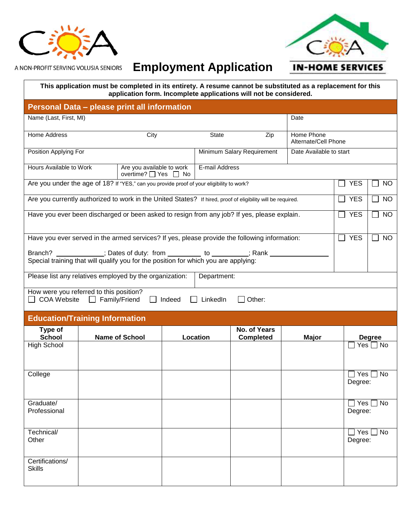



A NON-PROFIT SERVING VOLUSIA SENIORS

## **Employment Application**

**IN-HOME SERVICES** 

| This application must be completed in its entirety. A resume cannot be substituted as a replacement for this |
|--------------------------------------------------------------------------------------------------------------|
| application form. Incomplete applications will not be considered.                                            |

| Personal Data - please print all information                                                                                                                       |  |                                                   |  |                |                                         |            |                                    |                         |                      |  |  |
|--------------------------------------------------------------------------------------------------------------------------------------------------------------------|--|---------------------------------------------------|--|----------------|-----------------------------------------|------------|------------------------------------|-------------------------|----------------------|--|--|
| Name (Last, First, MI)                                                                                                                                             |  |                                                   |  |                |                                         |            | Date                               |                         |                      |  |  |
| <b>Home Address</b>                                                                                                                                                |  | City                                              |  | State          |                                         | Zip        | Home Phone<br>Alternate/Cell Phone |                         |                      |  |  |
| Position Applying For                                                                                                                                              |  |                                                   |  |                | Minimum Salary Requirement              |            | Date Available to start            |                         |                      |  |  |
| Hours Available to Work                                                                                                                                            |  | Are you available to work<br>overtime? □ Yes □ No |  | E-mail Address |                                         |            |                                    |                         |                      |  |  |
| Are you under the age of 18? If "YES," can you provide proof of your eligibility to work?                                                                          |  |                                                   |  |                |                                         | <b>YES</b> | <b>NO</b>                          |                         |                      |  |  |
| Are you currently authorized to work in the United States? If hired, proof of eligibility will be required.                                                        |  |                                                   |  |                |                                         | <b>YES</b> | <b>NO</b>                          |                         |                      |  |  |
| Have you ever been discharged or been asked to resign from any job? If yes, please explain.<br><b>YES</b>                                                          |  |                                                   |  |                |                                         |            | <b>NO</b>                          |                         |                      |  |  |
|                                                                                                                                                                    |  |                                                   |  |                |                                         |            |                                    |                         |                      |  |  |
| Have you ever served in the armed services? If yes, please provide the following information:                                                                      |  |                                                   |  |                |                                         |            |                                    | <b>YES</b>              | <b>NO</b>            |  |  |
| Branch? ____________; Dates of duty: from _________ to ________; Rank _____<br>Special training that will qualify you for the position for which you are applying: |  |                                                   |  |                |                                         |            |                                    |                         |                      |  |  |
| Please list any relatives employed by the organization:<br>Department:                                                                                             |  |                                                   |  |                |                                         |            |                                    |                         |                      |  |  |
| How were you referred to this position?<br><b>COA Website</b><br>LinkedIn<br>Other:                                                                                |  |                                                   |  |                |                                         |            |                                    |                         |                      |  |  |
| Family/Friend<br>Indeed                                                                                                                                            |  |                                                   |  |                |                                         |            |                                    |                         |                      |  |  |
| <b>Education/Training Information</b>                                                                                                                              |  |                                                   |  |                |                                         |            |                                    |                         |                      |  |  |
| Type of<br><b>School</b>                                                                                                                                           |  | <b>Name of School</b>                             |  | Location       | <b>No. of Years</b><br><b>Completed</b> |            | <b>Major</b>                       |                         | <b>Degree</b>        |  |  |
| <b>High School</b>                                                                                                                                                 |  |                                                   |  |                |                                         |            |                                    |                         | $Yes \Box No$        |  |  |
|                                                                                                                                                                    |  |                                                   |  |                |                                         |            |                                    |                         |                      |  |  |
| College                                                                                                                                                            |  |                                                   |  |                |                                         |            |                                    | Yes<br>Degree:          | No                   |  |  |
|                                                                                                                                                                    |  |                                                   |  |                |                                         |            |                                    |                         |                      |  |  |
| Graduate/<br>Professional                                                                                                                                          |  |                                                   |  |                |                                         |            |                                    | Degree:                 | $\Box$ Yes $\Box$ No |  |  |
|                                                                                                                                                                    |  |                                                   |  |                |                                         |            |                                    |                         |                      |  |  |
| Technical/<br>Other                                                                                                                                                |  |                                                   |  |                |                                         |            |                                    | $\Box$ Yes [<br>Degree: | <b>No</b>            |  |  |
|                                                                                                                                                                    |  |                                                   |  |                |                                         |            |                                    |                         |                      |  |  |
| Certifications/<br><b>Skills</b>                                                                                                                                   |  |                                                   |  |                |                                         |            |                                    |                         |                      |  |  |
|                                                                                                                                                                    |  |                                                   |  |                |                                         |            |                                    |                         |                      |  |  |